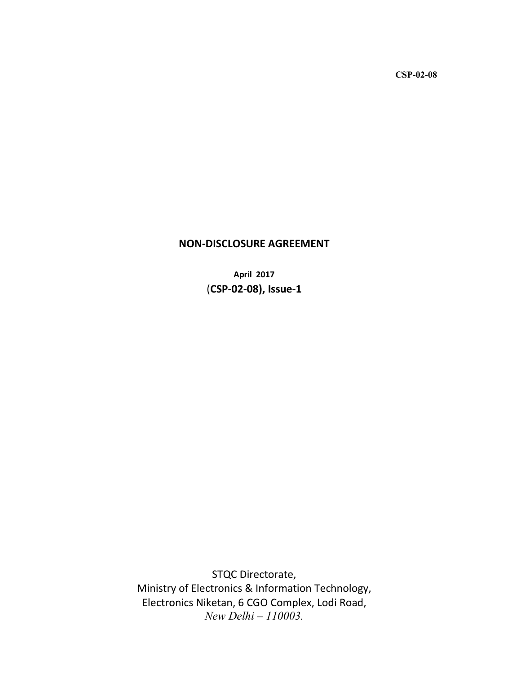CSP-02-08

# NON-DISCLOSURE AGREEMENT

April 2017 (CSP-02-08), Issue-1

STQC Directorate, Ministry of Electronics & Information Technology, Electronics Niketan, 6 CGO Complex, Lodi Road, *New Delhi – 110003.*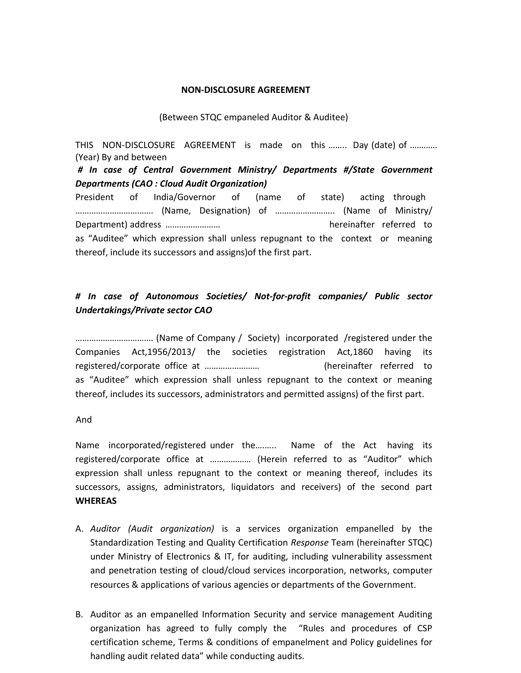#### NON-DISCLOSURE AGREEMENT

### (Between STQC empaneled Auditor & Auditee)

THIS NON-DISCLOSURE AGREEMENT is made on this ........ Day (date) of ............ (Year) By and between

*# In case of Central Government Ministry/ Departments #/State Government Departments (CAO : Cloud Audit Organization)*

President of India/Governor of (name of state) acting through ……………………………. (Name, Designation) of …………………….. (Name of Ministry/ Department) address …………………… hereinafter referred to as "Auditee" which expression shall unless repugnant to the context or meaning thereof, include its successors and assigns)of the first part.

## *# In case of Autonomous Societies/ Not-for-profit companies/ Public sector Undertakings/Private sector CAO*

……………………………. (Name of Company / Society) incorporated /registered under the Companies Act,1956/2013/ the societies registration Act,1860 having its registered/corporate office at …………………… (hereinafter referred to as "Auditee" which expression shall unless repugnant to the context or meaning thereof, includes its successors, administrators and permitted assigns) of the first part.

And

Name incorporated/registered under the….….. Name of the Act having its registered/corporate office at ……………… (Herein referred to as "Auditor" which expression shall unless repugnant to the context or meaning thereof, includes its successors, assigns, administrators, liquidators and receivers) of the second part **WHEREAS** 

- A. *Auditor (Audit organization)* is a services organization empanelled by the Standardization Testing and Quality Certification *Response* Team (hereinafter STQC) under Ministry of Electronics & IT, for auditing, including vulnerability assessment and penetration testing of cloud/cloud services incorporation, networks, computer resources & applications of various agencies or departments of the Government.
- B. Auditor as an empanelled Information Security and service management Auditing organization has agreed to fully comply the "Rules and procedures of CSP certification scheme, Terms & conditions of empanelment and Policy guidelines for handling audit related data" while conducting audits.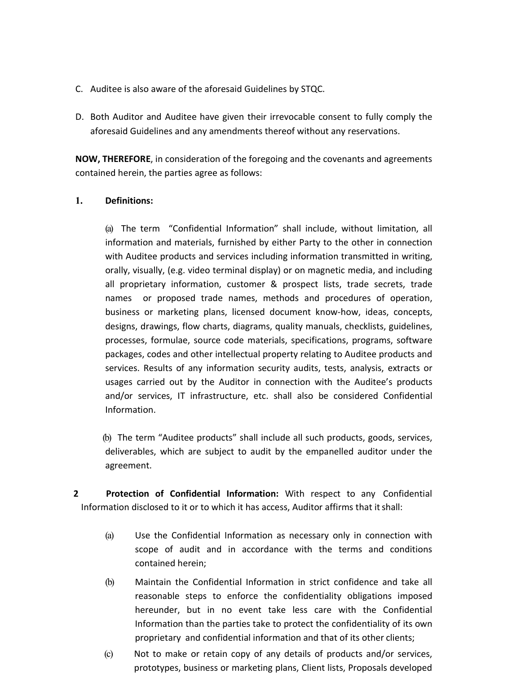- C. Auditee is also aware of the aforesaid Guidelines by STQC.
- D. Both Auditor and Auditee have given their irrevocable consent to fully comply the aforesaid Guidelines and any amendments thereof without any reservations.

NOW, THEREFORE, in consideration of the foregoing and the covenants and agreements contained herein, the parties agree as follows:

## 1. Definitions:

(a) The term "Confidential Information" shall include, without limitation, all information and materials, furnished by either Party to the other in connection with Auditee products and services including information transmitted in writing, orally, visually, (e.g. video terminal display) or on magnetic media, and including all proprietary information, customer & prospect lists, trade secrets, trade names or proposed trade names, methods and procedures of operation, business or marketing plans, licensed document know-how, ideas, concepts, designs, drawings, flow charts, diagrams, quality manuals, checklists, guidelines, processes, formulae, source code materials, specifications, programs, software packages, codes and other intellectual property relating to Auditee products and services. Results of any information security audits, tests, analysis, extracts or usages carried out by the Auditor in connection with the Auditee's products and/or services, IT infrastructure, etc. shall also be considered Confidential Information.

(b) The term "Auditee products" shall include all such products, goods, services, deliverables, which are subject to audit by the empanelled auditor under the agreement.

2 Protection of Confidential Information: With respect to any Confidential Information disclosed to it or to which it has access, Auditor affirms that it shall:

- (a) Use the Confidential Information as necessary only in connection with scope of audit and in accordance with the terms and conditions contained herein;
- (b) Maintain the Confidential Information in strict confidence and take all reasonable steps to enforce the confidentiality obligations imposed hereunder, but in no event take less care with the Confidential Information than the parties take to protect the confidentiality of its own proprietary and confidential information and that of its other clients;
- (c) Not to make or retain copy of any details of products and/or services, prototypes, business or marketing plans, Client lists, Proposals developed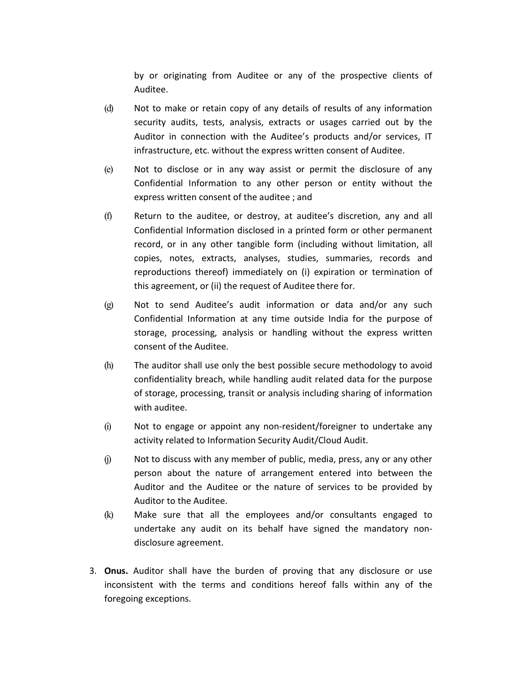by or originating from Auditee or any of the prospective clients of Auditee.

- (d) Not to make or retain copy of any details of results of any information security audits, tests, analysis, extracts or usages carried out by the Auditor in connection with the Auditee's products and/or services, IT infrastructure, etc. without the express written consent of Auditee.
- (e) Not to disclose or in any way assist or permit the disclosure of any Confidential Information to any other person or entity without the express written consent of the auditee ; and
- (f) Return to the auditee, or destroy, at auditee's discretion, any and all Confidential Information disclosed in a printed form or other permanent record, or in any other tangible form (including without limitation, all copies, notes, extracts, analyses, studies, summaries, records and reproductions thereof) immediately on (i) expiration or termination of this agreement, or (ii) the request of Auditee there for.
- (g) Not to send Auditee's audit information or data and/or any such Confidential Information at any time outside India for the purpose of storage, processing, analysis or handling without the express written consent of the Auditee.
- (h) The auditor shall use only the best possible secure methodology to avoid confidentiality breach, while handling audit related data for the purpose of storage, processing, transit or analysis including sharing of information with auditee.
- (i) Not to engage or appoint any non-resident/foreigner to undertake any activity related to Information Security Audit/Cloud Audit.
- $(i)$  Not to discuss with any member of public, media, press, any or any other person about the nature of arrangement entered into between the Auditor and the Auditee or the nature of services to be provided by Auditor to the Auditee.
- (k) Make sure that all the employees and/or consultants engaged to undertake any audit on its behalf have signed the mandatory nondisclosure agreement.
- 3. Onus. Auditor shall have the burden of proving that any disclosure or use inconsistent with the terms and conditions hereof falls within any of the foregoing exceptions.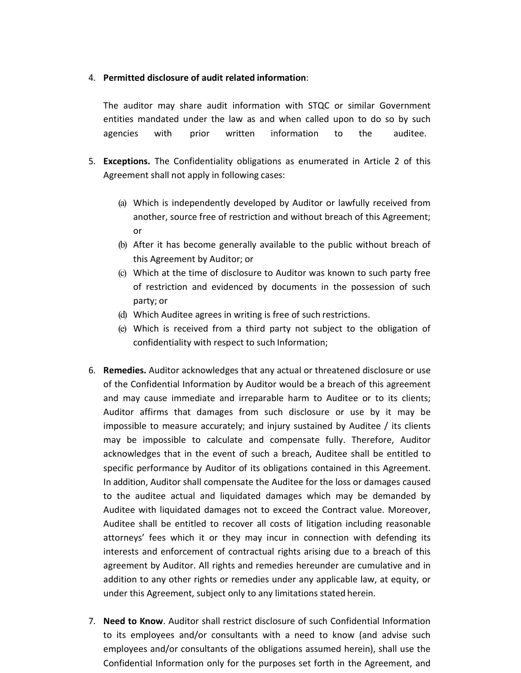### 4. Permitted disclosure of audit related information:

The auditor may share audit information with STQC or similar Government entities mandated under the law as and when called upon to do so by such agencies with prior written information to the auditee.

- 5. Exceptions. The Confidentiality obligations as enumerated in Article 2 of this Agreement shall not apply in following cases:
	- (a) Which is independently developed by Auditor or lawfully received from another, source free of restriction and without breach of this Agreement; or
	- (b) After it has become generally available to the public without breach of this Agreement by Auditor; or
	- (c) Which at the time of disclosure to Auditor was known to such party free of restriction and evidenced by documents in the possession of such party; or
	- (d) Which Auditee agrees in writing is free of such restrictions.
	- (e) Which is received from a third party not subject to the obligation of confidentiality with respect to such Information;
- 6. Remedies. Auditor acknowledges that any actual or threatened disclosure or use of the Confidential Information by Auditor would be a breach of this agreement and may cause immediate and irreparable harm to Auditee or to its clients; Auditor affirms that damages from such disclosure or use by it may be impossible to measure accurately; and injury sustained by Auditee / its clients may be impossible to calculate and compensate fully. Therefore, Auditor acknowledges that in the event of such a breach, Auditee shall be entitled to specific performance by Auditor of its obligations contained in this Agreement. In addition, Auditor shall compensate the Auditee for the loss or damages caused to the auditee actual and liquidated damages which may be demanded by Auditee with liquidated damages not to exceed the Contract value. Moreover, Auditee shall be entitled to recover all costs of litigation including reasonable attorneys' fees which it or they may incur in connection with defending its interests and enforcement of contractual rights arising due to a breach of this agreement by Auditor. All rights and remedies hereunder are cumulative and in addition to any other rights or remedies under any applicable law, at equity, or under this Agreement, subject only to any limitations stated herein.
- 7. Need to Know. Auditor shall restrict disclosure of such Confidential Information to its employees and/or consultants with a need to know (and advise such employees and/or consultants of the obligations assumed herein), shall use the Confidential Information only for the purposes set forth in the Agreement, and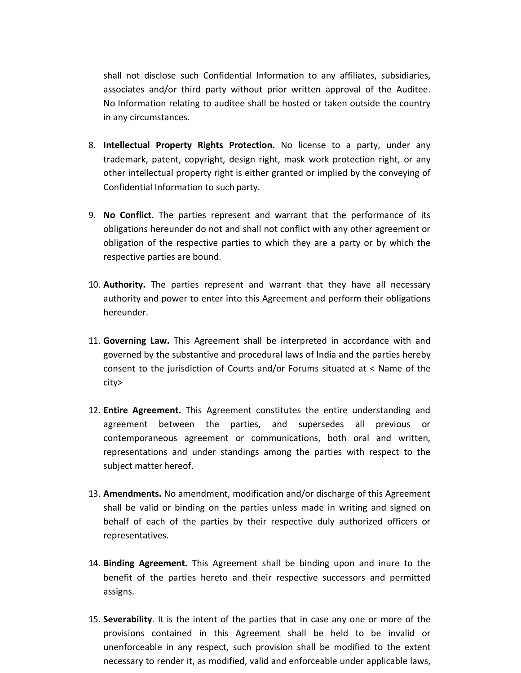shall not disclose such Confidential Information to any affiliates, subsidiaries, associates and/or third party without prior written approval of the Auditee. No Information relating to auditee shall be hosted or taken outside the country in any circumstances.

- 8. Intellectual Property Rights Protection. No license to a party, under any trademark, patent, copyright, design right, mask work protection right, or any other intellectual property right is either granted or implied by the conveying of Confidential Information to such party.
- 9. No Conflict. The parties represent and warrant that the performance of its obligations hereunder do not and shall not conflict with any other agreement or obligation of the respective parties to which they are a party or by which the respective parties are bound.
- 10. Authority. The parties represent and warrant that they have all necessary authority and power to enter into this Agreement and perform their obligations hereunder.
- 11. Governing Law. This Agreement shall be interpreted in accordance with and governed by the substantive and procedural laws of India and the parties hereby consent to the jurisdiction of Courts and/or Forums situated at < Name of the city>
- 12. Entire Agreement. This Agreement constitutes the entire understanding and agreement between the parties, and supersedes all previous or contemporaneous agreement or communications, both oral and written, representations and under standings among the parties with respect to the subject matter hereof.
- 13. Amendments. No amendment, modification and/or discharge of this Agreement shall be valid or binding on the parties unless made in writing and signed on behalf of each of the parties by their respective duly authorized officers or representatives.
- 14. Binding Agreement. This Agreement shall be binding upon and inure to the benefit of the parties hereto and their respective successors and permitted assigns.
- 15. Severability. It is the intent of the parties that in case any one or more of the provisions contained in this Agreement shall be held to be invalid or unenforceable in any respect, such provision shall be modified to the extent necessary to render it, as modified, valid and enforceable under applicable laws,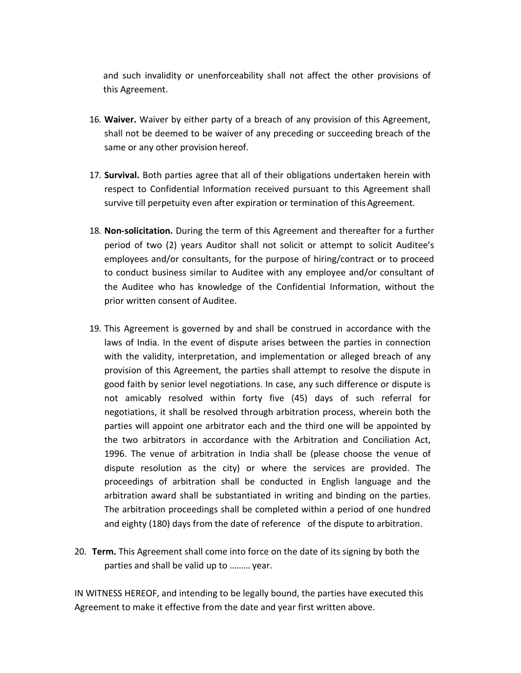and such invalidity or unenforceability shall not affect the other provisions of this Agreement.

- 16. Waiver. Waiver by either party of a breach of any provision of this Agreement, shall not be deemed to be waiver of any preceding or succeeding breach of the same or any other provision hereof.
- 17. Survival. Both parties agree that all of their obligations undertaken herein with respect to Confidential Information received pursuant to this Agreement shall survive till perpetuity even after expiration or termination of this Agreement.
- 18. Non-solicitation. During the term of this Agreement and thereafter for a further period of two (2) years Auditor shall not solicit or attempt to solicit Auditee's employees and/or consultants, for the purpose of hiring/contract or to proceed to conduct business similar to Auditee with any employee and/or consultant of the Auditee who has knowledge of the Confidential Information, without the prior written consent of Auditee.
- 19. This Agreement is governed by and shall be construed in accordance with the laws of India. In the event of dispute arises between the parties in connection with the validity, interpretation, and implementation or alleged breach of any provision of this Agreement, the parties shall attempt to resolve the dispute in good faith by senior level negotiations. In case, any such difference or dispute is not amicably resolved within forty five (45) days of such referral for negotiations, it shall be resolved through arbitration process, wherein both the parties will appoint one arbitrator each and the third one will be appointed by the two arbitrators in accordance with the Arbitration and Conciliation Act, 1996. The venue of arbitration in India shall be (please choose the venue of dispute resolution as the city) or where the services are provided. The proceedings of arbitration shall be conducted in English language and the arbitration award shall be substantiated in writing and binding on the parties. The arbitration proceedings shall be completed within a period of one hundred and eighty (180) days from the date of reference of the dispute to arbitration.
- 20. Term. This Agreement shall come into force on the date of its signing by both the parties and shall be valid up to ……… year.

IN WITNESS HEREOF, and intending to be legally bound, the parties have executed this Agreement to make it effective from the date and year first written above.